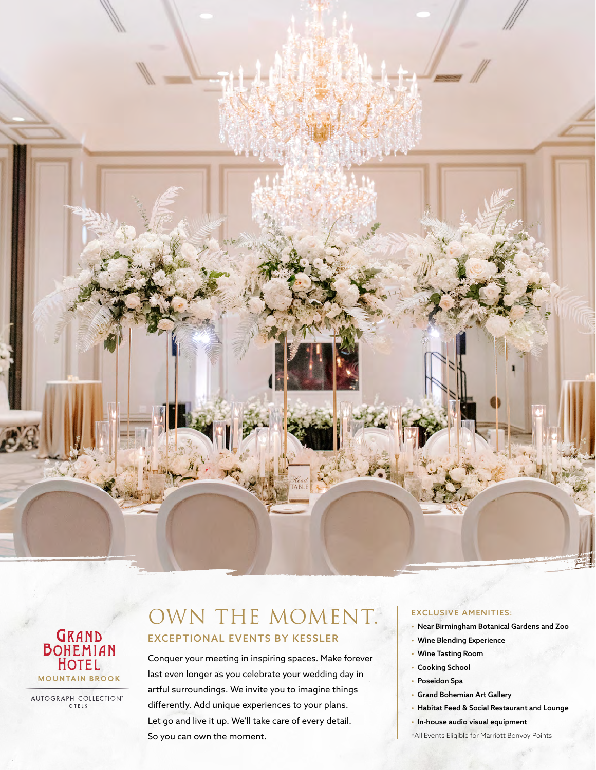



AUTOGRAPH COLLECTION® HOTELS

## OWN THE MOMENT. EXCEPTIONAL EVENTS BY KESSLER

Conquer your meeting in inspiring spaces. Make forever last even longer as you celebrate your wedding day in artful surroundings. We invite you to imagine things differently. Add unique experiences to your plans. Let go and live it up. We'll take care of every detail. So you can own the moment.

## EXCLUSIVE AMENITIES:

- Near Birmingham Botanical Gardens and Zoo
- Wine Blending Experience
- Wine Tasting Room
- Cooking School
- Poseidon Spa
- Grand Bohemian Art Gallery
- Habitat Feed & Social Restaurant and Lounge
- In-house audio visual equipment
- \*All Events Eligible for Marriott Bonvoy Points